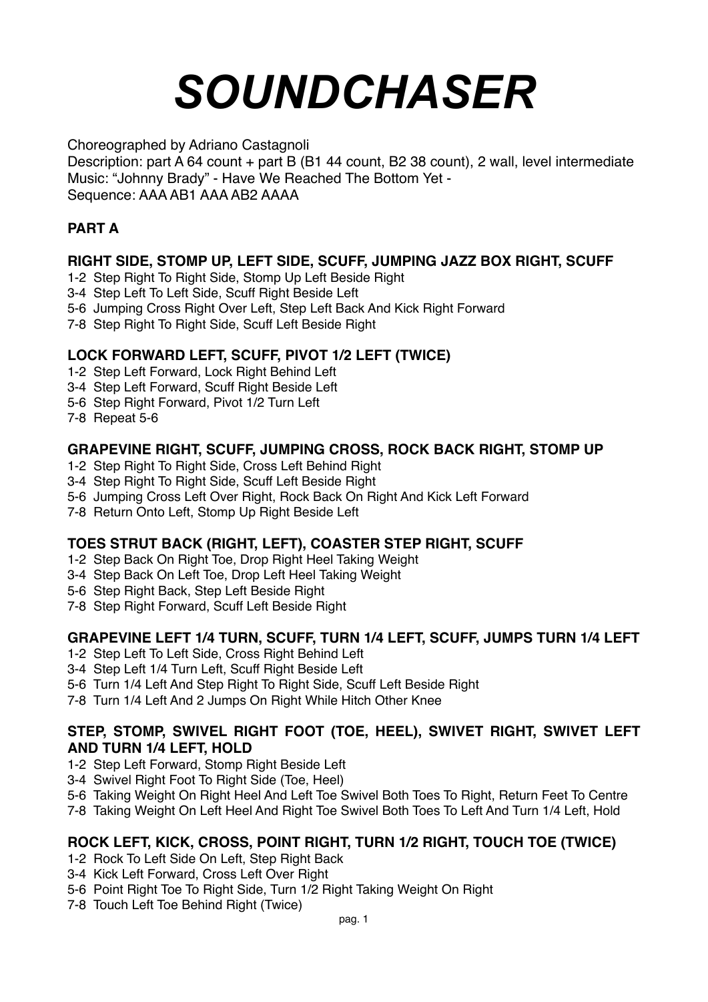# *SOUNDCHASER*

Choreographed by Adriano Castagnoli

Description: part A 64 count + part B (B1 44 count, B2 38 count), 2 wall, level intermediate Music: "Johnny Brady" - Have We Reached The Bottom Yet - Sequence: AAA AB1 AAA AB2 AAAA

# **PART A**

# **RIGHT SIDE, STOMP UP, LEFT SIDE, SCUFF, JUMPING JAZZ BOX RIGHT, SCUFF**

- 1-2 Step Right To Right Side, Stomp Up Left Beside Right
- 3-4 Step Left To Left Side, Scuff Right Beside Left
- 5-6 Jumping Cross Right Over Left, Step Left Back And Kick Right Forward
- 7-8 Step Right To Right Side, Scuff Left Beside Right

## **LOCK FORWARD LEFT, SCUFF, PIVOT 1/2 LEFT (TWICE)**

- 1-2 Step Left Forward, Lock Right Behind Left
- 3-4 Step Left Forward, Scuff Right Beside Left
- 5-6 Step Right Forward, Pivot 1/2 Turn Left
- 7-8 Repeat 5-6

## **GRAPEVINE RIGHT, SCUFF, JUMPING CROSS, ROCK BACK RIGHT, STOMP UP**

- 1-2 Step Right To Right Side, Cross Left Behind Right
- 3-4 Step Right To Right Side, Scuff Left Beside Right
- 5-6 Jumping Cross Left Over Right, Rock Back On Right And Kick Left Forward
- 7-8 Return Onto Left, Stomp Up Right Beside Left

## **TOES STRUT BACK (RIGHT, LEFT), COASTER STEP RIGHT, SCUFF**

- 1-2 Step Back On Right Toe, Drop Right Heel Taking Weight
- 3-4 Step Back On Left Toe, Drop Left Heel Taking Weight
- 5-6 Step Right Back, Step Left Beside Right
- 7-8 Step Right Forward, Scuff Left Beside Right

## **GRAPEVINE LEFT 1/4 TURN, SCUFF, TURN 1/4 LEFT, SCUFF, JUMPS TURN 1/4 LEFT**

- 1-2 Step Left To Left Side, Cross Right Behind Left
- 3-4 Step Left 1/4 Turn Left, Scuff Right Beside Left
- 5-6 Turn 1/4 Left And Step Right To Right Side, Scuff Left Beside Right
- 7-8 Turn 1/4 Left And 2 Jumps On Right While Hitch Other Knee

## **STEP, STOMP, SWIVEL RIGHT FOOT (TOE, HEEL), SWIVET RIGHT, SWIVET LEFT AND TURN 1/4 LEFT, HOLD**

- 1-2 Step Left Forward, Stomp Right Beside Left
- 3-4 Swivel Right Foot To Right Side (Toe, Heel)
- 5-6 Taking Weight On Right Heel And Left Toe Swivel Both Toes To Right, Return Feet To Centre
- 7-8 Taking Weight On Left Heel And Right Toe Swivel Both Toes To Left And Turn 1/4 Left, Hold

# **ROCK LEFT, KICK, CROSS, POINT RIGHT, TURN 1/2 RIGHT, TOUCH TOE (TWICE)**

- 1-2 Rock To Left Side On Left, Step Right Back
- 3-4 Kick Left Forward, Cross Left Over Right
- 5-6 Point Right Toe To Right Side, Turn 1/2 Right Taking Weight On Right
- 7-8 Touch Left Toe Behind Right (Twice)